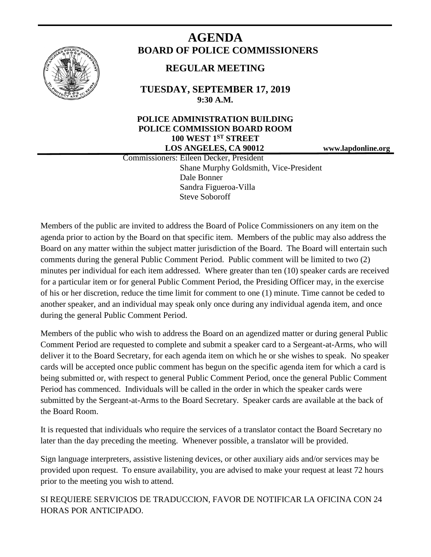

# **AGENDA BOARD OF POLICE COMMISSIONERS**

## **REGULAR MEETING**

**TUESDAY, SEPTEMBER 17, 2019 9:30 A.M.**

#### **POLICE ADMINISTRATION BUILDING POLICE COMMISSION BOARD ROOM 100 WEST 1ST STREET LOS ANGELES, CA 90012 www.lapdonline.org**

 Commissioners: Eileen Decker, President Shane Murphy Goldsmith, Vice-President Dale Bonner Sandra Figueroa-Villa Steve Soboroff

Members of the public are invited to address the Board of Police Commissioners on any item on the agenda prior to action by the Board on that specific item. Members of the public may also address the Board on any matter within the subject matter jurisdiction of the Board. The Board will entertain such comments during the general Public Comment Period. Public comment will be limited to two (2) minutes per individual for each item addressed. Where greater than ten (10) speaker cards are received for a particular item or for general Public Comment Period, the Presiding Officer may, in the exercise of his or her discretion, reduce the time limit for comment to one (1) minute. Time cannot be ceded to another speaker, and an individual may speak only once during any individual agenda item, and once during the general Public Comment Period.

Members of the public who wish to address the Board on an agendized matter or during general Public Comment Period are requested to complete and submit a speaker card to a Sergeant-at-Arms, who will deliver it to the Board Secretary, for each agenda item on which he or she wishes to speak. No speaker cards will be accepted once public comment has begun on the specific agenda item for which a card is being submitted or, with respect to general Public Comment Period, once the general Public Comment Period has commenced. Individuals will be called in the order in which the speaker cards were submitted by the Sergeant-at-Arms to the Board Secretary. Speaker cards are available at the back of the Board Room.

It is requested that individuals who require the services of a translator contact the Board Secretary no later than the day preceding the meeting. Whenever possible, a translator will be provided.

Sign language interpreters, assistive listening devices, or other auxiliary aids and/or services may be provided upon request. To ensure availability, you are advised to make your request at least 72 hours prior to the meeting you wish to attend.

SI REQUIERE SERVICIOS DE TRADUCCION, FAVOR DE NOTIFICAR LA OFICINA CON 24 HORAS POR ANTICIPADO.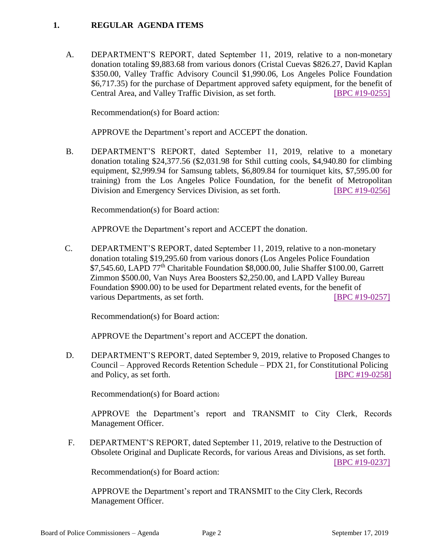#### **1. REGULAR AGENDA ITEMS**

A. DEPARTMENT'S REPORT, dated September 11, 2019, relative to a non-monetary donation totaling \$9,883.68 from various donors (Cristal Cuevas \$826.27, David Kaplan \$350.00, Valley Traffic Advisory Council \$1,990.06, Los Angeles Police Foundation \$6,717.35) for the purchase of Department approved safety equipment, for the benefit of Central Area, and Valley Traffic Division, as set forth. [\[BPC #19-0255\]](http://www.lapdpolicecom.lacity.org/091719/BPC_19-0255.pdf)

Recommendation(s) for Board action:

APPROVE the Department's report and ACCEPT the donation.

B. DEPARTMENT'S REPORT, dated September 11, 2019, relative to a monetary donation totaling \$24,377.56 (\$2,031.98 for Sthil cutting cools, \$4,940.80 for climbing equipment, \$2,999.94 for Samsung tablets, \$6,809.84 for tourniquet kits, \$7,595.00 for training) from the Los Angeles Police Foundation, for the benefit of Metropolitan Division and Emergency Services Division, as set forth. [\[BPC #19-0256\]](http://www.lapdpolicecom.lacity.org/091719/BPC_19-0256.pdf)

Recommendation(s) for Board action:

APPROVE the Department's report and ACCEPT the donation.

C. DEPARTMENT'S REPORT, dated September 11, 2019, relative to a non-monetary donation totaling \$19,295.60 from various donors (Los Angeles Police Foundation \$7,545.60, LAPD 77<sup>th</sup> Charitable Foundation \$8,000.00, Julie Shaffer \$100.00, Garrett Zimmon \$500.00, Van Nuys Area Boosters \$2,250.00, and LAPD Valley Bureau Foundation \$900.00) to be used for Department related events, for the benefit of various Departments, as set forth. [\[BPC #19-0257\]](http://www.lapdpolicecom.lacity.org/091719/BPC_19-0257.pdf)

Recommendation(s) for Board action:

APPROVE the Department's report and ACCEPT the donation.

D. DEPARTMENT'S REPORT, dated September 9, 2019, relative to Proposed Changes to Council – Approved Records Retention Schedule – PDX 21, for Constitutional Policing and Policy, as set forth. **[\[BPC #19-0258\]](http://www.lapdpolicecom.lacity.org/091719/BPC_19-0258.pdf)** 

Recommendation(s) for Board action:

APPROVE the Department's report and TRANSMIT to City Clerk, Records Management Officer.

 F. DEPARTMENT'S REPORT, dated September 11, 2019, relative to the Destruction of Obsolete Original and Duplicate Records, for various Areas and Divisions, as set forth.

[\[BPC #19-0237\]](http://www.lapdpolicecom.lacity.org/091719/BPC_19-0237.pdf)

Recommendation(s) for Board action:

APPROVE the Department's report and TRANSMIT to the City Clerk, Records Management Officer.